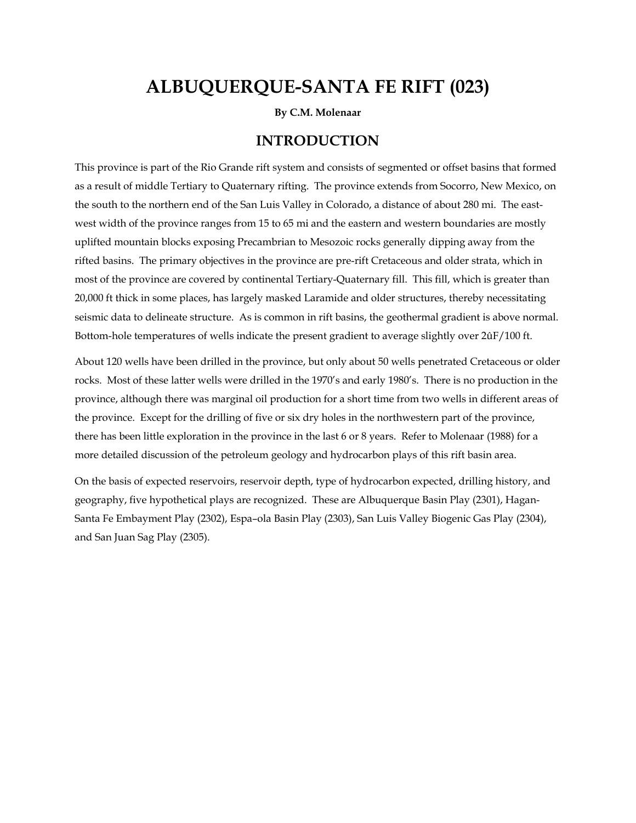# **ALBUQUERQUE-SANTA FE RIFT (023)**

**By C.M. Molenaar** 

### **INTRODUCTION**

This province is part of the Rio Grande rift system and consists of segmented or offset basins that formed as a result of middle Tertiary to Quaternary rifting. The province extends from Socorro, New Mexico, on the south to the northern end of the San Luis Valley in Colorado, a distance of about 280 mi. The eastwest width of the province ranges from 15 to 65 mi and the eastern and western boundaries are mostly uplifted mountain blocks exposing Precambrian to Mesozoic rocks generally dipping away from the rifted basins. The primary objectives in the province are pre-rift Cretaceous and older strata, which in most of the province are covered by continental Tertiary-Quaternary fill. This fill, which is greater than 20,000 ft thick in some places, has largely masked Laramide and older structures, thereby necessitating seismic data to delineate structure. As is common in rift basins, the geothermal gradient is above normal. Bottom-hole temperatures of wells indicate the present gradient to average slightly over 2ûF/100 ft.

About 120 wells have been drilled in the province, but only about 50 wells penetrated Cretaceous or older rocks. Most of these latter wells were drilled in the 1970's and early 1980's. There is no production in the province, although there was marginal oil production for a short time from two wells in different areas of the province. Except for the drilling of five or six dry holes in the northwestern part of the province, there has been little exploration in the province in the last 6 or 8 years. Refer to Molenaar (1988) for a more detailed discussion of the petroleum geology and hydrocarbon plays of this rift basin area.

On the basis of expected reservoirs, reservoir depth, type of hydrocarbon expected, drilling history, and geography, five hypothetical plays are recognized. These are Albuquerque Basin Play (2301), Hagan-Santa Fe Embayment Play (2302), Espa–ola Basin Play (2303), San Luis Valley Biogenic Gas Play (2304), and San Juan Sag Play (2305).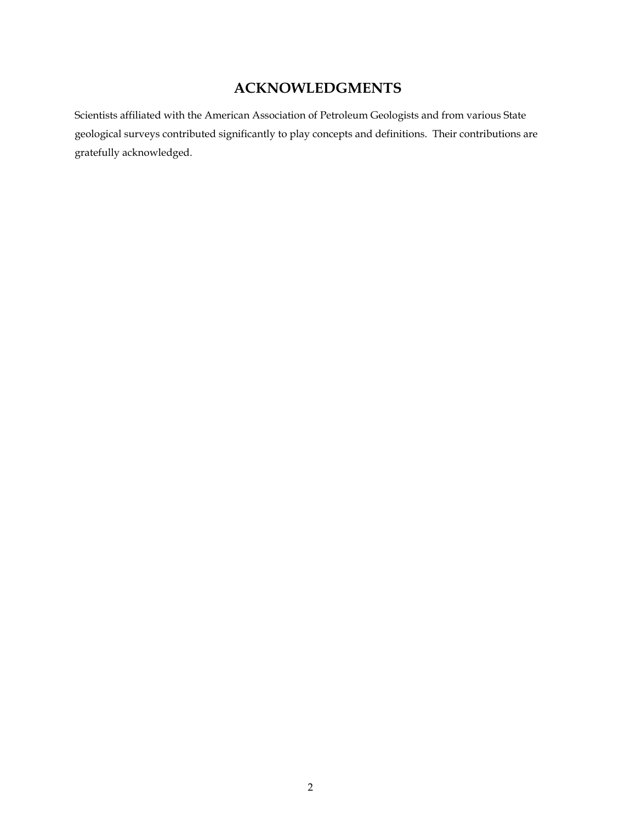## **ACKNOWLEDGMENTS**

Scientists affiliated with the American Association of Petroleum Geologists and from various State geological surveys contributed significantly to play concepts and definitions. Their contributions are gratefully acknowledged.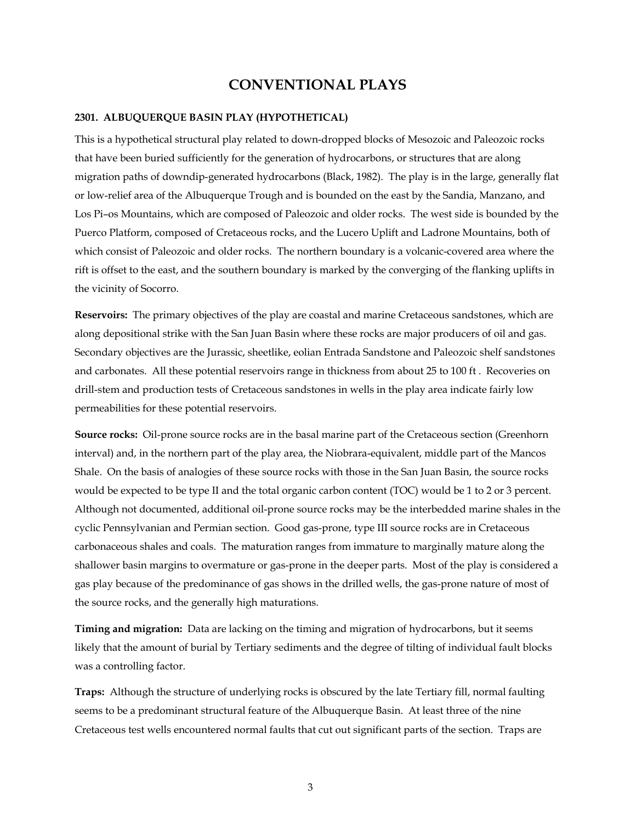## **CONVENTIONAL PLAYS**

#### **2301. ALBUQUERQUE BASIN PLAY (HYPOTHETICAL)**

This is a hypothetical structural play related to down-dropped blocks of Mesozoic and Paleozoic rocks that have been buried sufficiently for the generation of hydrocarbons, or structures that are along migration paths of downdip-generated hydrocarbons (Black, 1982). The play is in the large, generally flat or low-relief area of the Albuquerque Trough and is bounded on the east by the Sandia, Manzano, and Los Pi–os Mountains, which are composed of Paleozoic and older rocks. The west side is bounded by the Puerco Platform, composed of Cretaceous rocks, and the Lucero Uplift and Ladrone Mountains, both of which consist of Paleozoic and older rocks. The northern boundary is a volcanic-covered area where the rift is offset to the east, and the southern boundary is marked by the converging of the flanking uplifts in the vicinity of Socorro.

**Reservoirs:** The primary objectives of the play are coastal and marine Cretaceous sandstones, which are along depositional strike with the San Juan Basin where these rocks are major producers of oil and gas. Secondary objectives are the Jurassic, sheetlike, eolian Entrada Sandstone and Paleozoic shelf sandstones and carbonates. All these potential reservoirs range in thickness from about 25 to 100 ft . Recoveries on drill-stem and production tests of Cretaceous sandstones in wells in the play area indicate fairly low permeabilities for these potential reservoirs.

**Source rocks:** Oil-prone source rocks are in the basal marine part of the Cretaceous section (Greenhorn interval) and, in the northern part of the play area, the Niobrara-equivalent, middle part of the Mancos Shale. On the basis of analogies of these source rocks with those in the San Juan Basin, the source rocks would be expected to be type II and the total organic carbon content (TOC) would be 1 to 2 or 3 percent. Although not documented, additional oil-prone source rocks may be the interbedded marine shales in the cyclic Pennsylvanian and Permian section. Good gas-prone, type III source rocks are in Cretaceous carbonaceous shales and coals. The maturation ranges from immature to marginally mature along the shallower basin margins to overmature or gas-prone in the deeper parts. Most of the play is considered a gas play because of the predominance of gas shows in the drilled wells, the gas-prone nature of most of the source rocks, and the generally high maturations.

**Timing and migration:** Data are lacking on the timing and migration of hydrocarbons, but it seems likely that the amount of burial by Tertiary sediments and the degree of tilting of individual fault blocks was a controlling factor.

**Traps:** Although the structure of underlying rocks is obscured by the late Tertiary fill, normal faulting seems to be a predominant structural feature of the Albuquerque Basin. At least three of the nine Cretaceous test wells encountered normal faults that cut out significant parts of the section. Traps are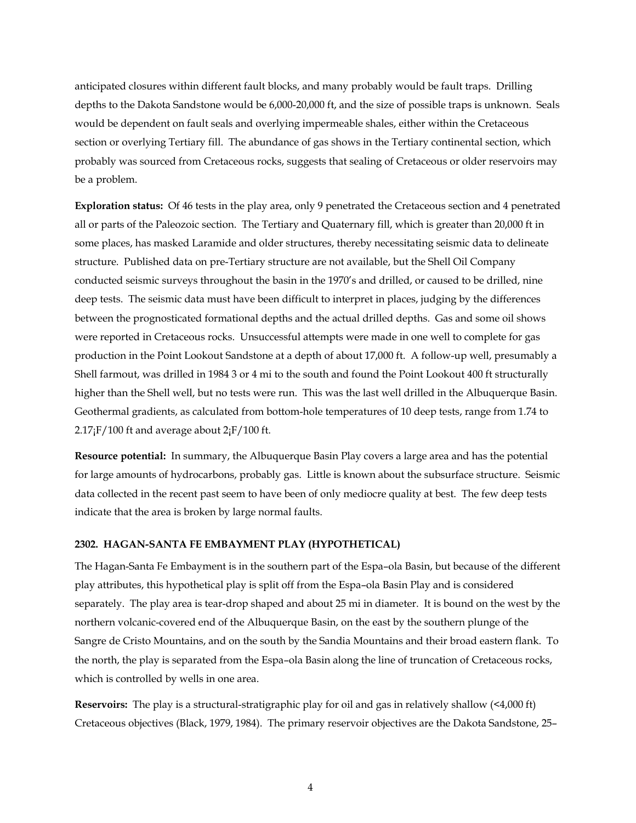anticipated closures within different fault blocks, and many probably would be fault traps. Drilling depths to the Dakota Sandstone would be 6,000-20,000 ft, and the size of possible traps is unknown. Seals would be dependent on fault seals and overlying impermeable shales, either within the Cretaceous section or overlying Tertiary fill. The abundance of gas shows in the Tertiary continental section, which probably was sourced from Cretaceous rocks, suggests that sealing of Cretaceous or older reservoirs may be a problem.

**Exploration status:** Of 46 tests in the play area, only 9 penetrated the Cretaceous section and 4 penetrated all or parts of the Paleozoic section. The Tertiary and Quaternary fill, which is greater than 20,000 ft in some places, has masked Laramide and older structures, thereby necessitating seismic data to delineate structure. Published data on pre-Tertiary structure are not available, but the Shell Oil Company conducted seismic surveys throughout the basin in the 1970's and drilled, or caused to be drilled, nine deep tests. The seismic data must have been difficult to interpret in places, judging by the differences between the prognosticated formational depths and the actual drilled depths. Gas and some oil shows were reported in Cretaceous rocks. Unsuccessful attempts were made in one well to complete for gas production in the Point Lookout Sandstone at a depth of about 17,000 ft. A follow-up well, presumably a Shell farmout, was drilled in 1984 3 or 4 mi to the south and found the Point Lookout 400 ft structurally higher than the Shell well, but no tests were run. This was the last well drilled in the Albuquerque Basin. Geothermal gradients, as calculated from bottom-hole temperatures of 10 deep tests, range from 1.74 to  $2.17$ <sub>i</sub>F/100 ft and average about  $2$ <sub>i</sub>F/100 ft.

**Resource potential:** In summary, the Albuquerque Basin Play covers a large area and has the potential for large amounts of hydrocarbons, probably gas. Little is known about the subsurface structure. Seismic data collected in the recent past seem to have been of only mediocre quality at best. The few deep tests indicate that the area is broken by large normal faults.

#### **2302. HAGAN-SANTA FE EMBAYMENT PLAY (HYPOTHETICAL)**

The Hagan-Santa Fe Embayment is in the southern part of the Espa–ola Basin, but because of the different play attributes, this hypothetical play is split off from the Espa–ola Basin Play and is considered separately. The play area is tear-drop shaped and about 25 mi in diameter. It is bound on the west by the northern volcanic-covered end of the Albuquerque Basin, on the east by the southern plunge of the Sangre de Cristo Mountains, and on the south by the Sandia Mountains and their broad eastern flank. To the north, the play is separated from the Espa–ola Basin along the line of truncation of Cretaceous rocks, which is controlled by wells in one area.

**Reservoirs:** The play is a structural-stratigraphic play for oil and gas in relatively shallow (<4,000 ft) Cretaceous objectives (Black, 1979, 1984). The primary reservoir objectives are the Dakota Sandstone, 25–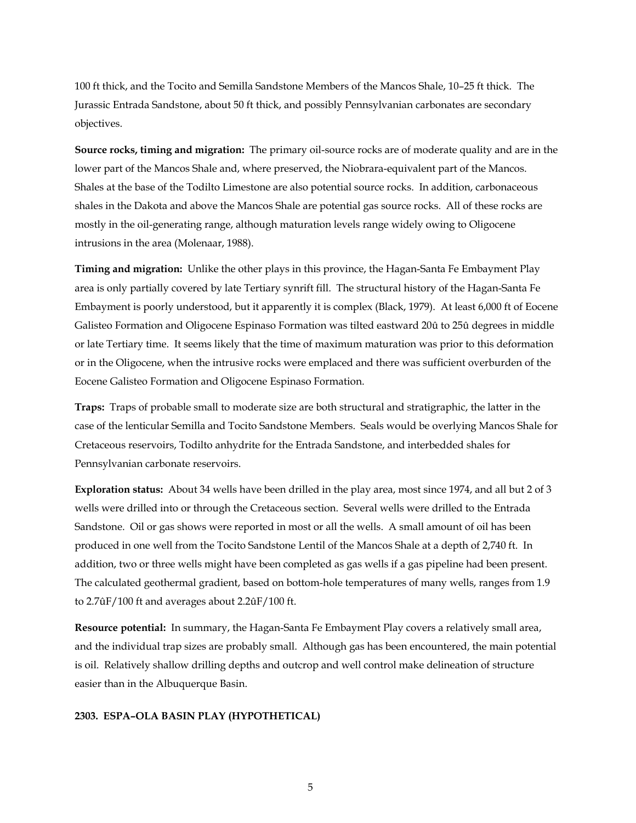100 ft thick, and the Tocito and Semilla Sandstone Members of the Mancos Shale, 10–25 ft thick. The Jurassic Entrada Sandstone, about 50 ft thick, and possibly Pennsylvanian carbonates are secondary objectives.

**Source rocks, timing and migration:** The primary oil-source rocks are of moderate quality and are in the lower part of the Mancos Shale and, where preserved, the Niobrara-equivalent part of the Mancos. Shales at the base of the Todilto Limestone are also potential source rocks. In addition, carbonaceous shales in the Dakota and above the Mancos Shale are potential gas source rocks. All of these rocks are mostly in the oil-generating range, although maturation levels range widely owing to Oligocene intrusions in the area (Molenaar, 1988).

**Timing and migration:** Unlike the other plays in this province, the Hagan-Santa Fe Embayment Play area is only partially covered by late Tertiary synrift fill. The structural history of the Hagan-Santa Fe Embayment is poorly understood, but it apparently it is complex (Black, 1979). At least 6,000 ft of Eocene Galisteo Formation and Oligocene Espinaso Formation was tilted eastward 20û to 25û degrees in middle or late Tertiary time. It seems likely that the time of maximum maturation was prior to this deformation or in the Oligocene, when the intrusive rocks were emplaced and there was sufficient overburden of the Eocene Galisteo Formation and Oligocene Espinaso Formation.

**Traps:** Traps of probable small to moderate size are both structural and stratigraphic, the latter in the case of the lenticular Semilla and Tocito Sandstone Members. Seals would be overlying Mancos Shale for Cretaceous reservoirs, Todilto anhydrite for the Entrada Sandstone, and interbedded shales for Pennsylvanian carbonate reservoirs.

**Exploration status:** About 34 wells have been drilled in the play area, most since 1974, and all but 2 of 3 wells were drilled into or through the Cretaceous section. Several wells were drilled to the Entrada Sandstone. Oil or gas shows were reported in most or all the wells. A small amount of oil has been produced in one well from the Tocito Sandstone Lentil of the Mancos Shale at a depth of 2,740 ft. In addition, two or three wells might have been completed as gas wells if a gas pipeline had been present. The calculated geothermal gradient, based on bottom-hole temperatures of many wells, ranges from 1.9 to 2.7ûF/100 ft and averages about 2.2ûF/100 ft.

**Resource potential:** In summary, the Hagan-Santa Fe Embayment Play covers a relatively small area, and the individual trap sizes are probably small. Although gas has been encountered, the main potential is oil. Relatively shallow drilling depths and outcrop and well control make delineation of structure easier than in the Albuquerque Basin.

#### **2303. ESPA–OLA BASIN PLAY (HYPOTHETICAL)**

5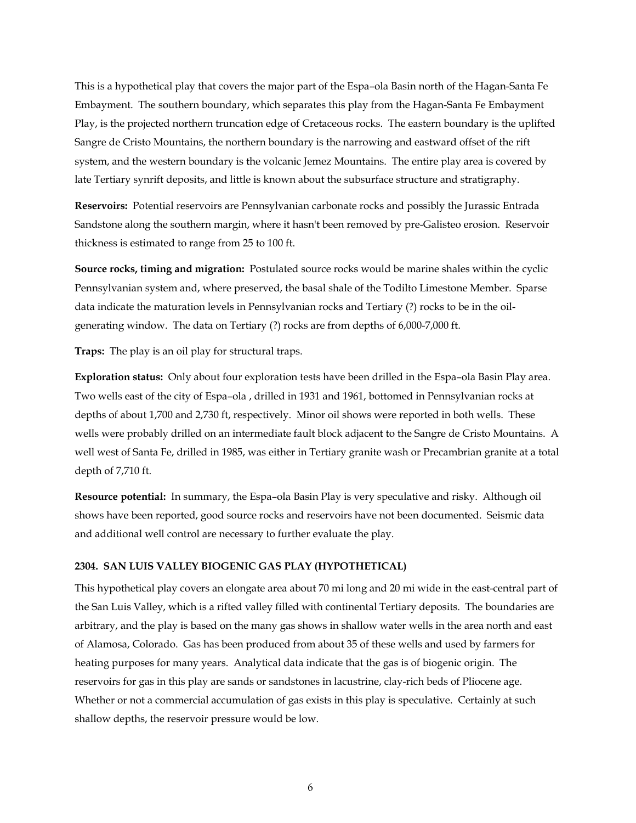This is a hypothetical play that covers the major part of the Espa–ola Basin north of the Hagan-Santa Fe Embayment. The southern boundary, which separates this play from the Hagan-Santa Fe Embayment Play, is the projected northern truncation edge of Cretaceous rocks. The eastern boundary is the uplifted Sangre de Cristo Mountains, the northern boundary is the narrowing and eastward offset of the rift system, and the western boundary is the volcanic Jemez Mountains. The entire play area is covered by late Tertiary synrift deposits, and little is known about the subsurface structure and stratigraphy.

**Reservoirs:** Potential reservoirs are Pennsylvanian carbonate rocks and possibly the Jurassic Entrada Sandstone along the southern margin, where it hasn't been removed by pre-Galisteo erosion. Reservoir thickness is estimated to range from 25 to 100 ft.

**Source rocks, timing and migration:** Postulated source rocks would be marine shales within the cyclic Pennsylvanian system and, where preserved, the basal shale of the Todilto Limestone Member. Sparse data indicate the maturation levels in Pennsylvanian rocks and Tertiary (?) rocks to be in the oilgenerating window. The data on Tertiary (?) rocks are from depths of 6,000-7,000 ft.

**Traps:** The play is an oil play for structural traps.

**Exploration status:** Only about four exploration tests have been drilled in the Espa–ola Basin Play area. Two wells east of the city of Espa–ola , drilled in 1931 and 1961, bottomed in Pennsylvanian rocks at depths of about 1,700 and 2,730 ft, respectively. Minor oil shows were reported in both wells. These wells were probably drilled on an intermediate fault block adjacent to the Sangre de Cristo Mountains. A well west of Santa Fe, drilled in 1985, was either in Tertiary granite wash or Precambrian granite at a total depth of 7,710 ft.

**Resource potential:** In summary, the Espa–ola Basin Play is very speculative and risky. Although oil shows have been reported, good source rocks and reservoirs have not been documented. Seismic data and additional well control are necessary to further evaluate the play.

#### **2304. SAN LUIS VALLEY BIOGENIC GAS PLAY (HYPOTHETICAL)**

This hypothetical play covers an elongate area about 70 mi long and 20 mi wide in the east-central part of the San Luis Valley, which is a rifted valley filled with continental Tertiary deposits. The boundaries are arbitrary, and the play is based on the many gas shows in shallow water wells in the area north and east of Alamosa, Colorado. Gas has been produced from about 35 of these wells and used by farmers for heating purposes for many years. Analytical data indicate that the gas is of biogenic origin. The reservoirs for gas in this play are sands or sandstones in lacustrine, clay-rich beds of Pliocene age. Whether or not a commercial accumulation of gas exists in this play is speculative. Certainly at such shallow depths, the reservoir pressure would be low.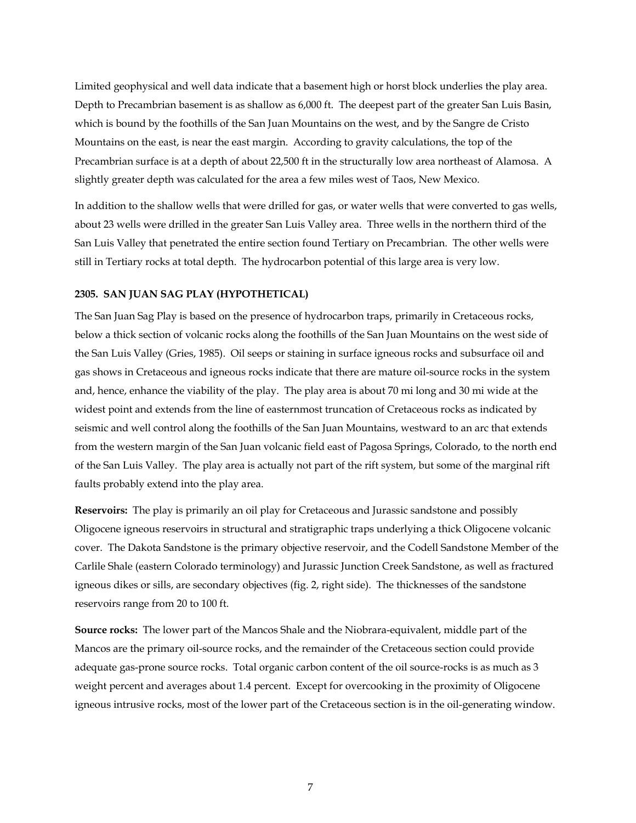Limited geophysical and well data indicate that a basement high or horst block underlies the play area. Depth to Precambrian basement is as shallow as 6,000 ft. The deepest part of the greater San Luis Basin, which is bound by the foothills of the San Juan Mountains on the west, and by the Sangre de Cristo Mountains on the east, is near the east margin. According to gravity calculations, the top of the Precambrian surface is at a depth of about 22,500 ft in the structurally low area northeast of Alamosa. A slightly greater depth was calculated for the area a few miles west of Taos, New Mexico.

In addition to the shallow wells that were drilled for gas, or water wells that were converted to gas wells, about 23 wells were drilled in the greater San Luis Valley area. Three wells in the northern third of the San Luis Valley that penetrated the entire section found Tertiary on Precambrian. The other wells were still in Tertiary rocks at total depth. The hydrocarbon potential of this large area is very low.

#### **2305. SAN JUAN SAG PLAY (HYPOTHETICAL)**

The San Juan Sag Play is based on the presence of hydrocarbon traps, primarily in Cretaceous rocks, below a thick section of volcanic rocks along the foothills of the San Juan Mountains on the west side of the San Luis Valley (Gries, 1985). Oil seeps or staining in surface igneous rocks and subsurface oil and gas shows in Cretaceous and igneous rocks indicate that there are mature oil-source rocks in the system and, hence, enhance the viability of the play. The play area is about 70 mi long and 30 mi wide at the widest point and extends from the line of easternmost truncation of Cretaceous rocks as indicated by seismic and well control along the foothills of the San Juan Mountains, westward to an arc that extends from the western margin of the San Juan volcanic field east of Pagosa Springs, Colorado, to the north end of the San Luis Valley. The play area is actually not part of the rift system, but some of the marginal rift faults probably extend into the play area.

**Reservoirs:** The play is primarily an oil play for Cretaceous and Jurassic sandstone and possibly Oligocene igneous reservoirs in structural and stratigraphic traps underlying a thick Oligocene volcanic cover. The Dakota Sandstone is the primary objective reservoir, and the Codell Sandstone Member of the Carlile Shale (eastern Colorado terminology) and Jurassic Junction Creek Sandstone, as well as fractured igneous dikes or sills, are secondary objectives (fig. 2, right side). The thicknesses of the sandstone reservoirs range from 20 to 100 ft.

**Source rocks:** The lower part of the Mancos Shale and the Niobrara-equivalent, middle part of the Mancos are the primary oil-source rocks, and the remainder of the Cretaceous section could provide adequate gas-prone source rocks. Total organic carbon content of the oil source-rocks is as much as 3 weight percent and averages about 1.4 percent. Except for overcooking in the proximity of Oligocene igneous intrusive rocks, most of the lower part of the Cretaceous section is in the oil-generating window.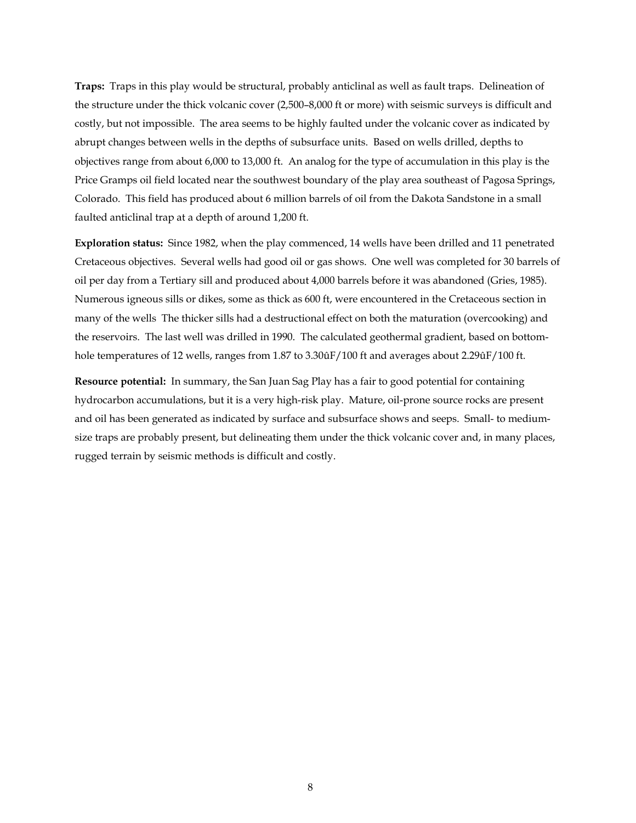**Traps:** Traps in this play would be structural, probably anticlinal as well as fault traps. Delineation of the structure under the thick volcanic cover (2,500–8,000 ft or more) with seismic surveys is difficult and costly, but not impossible. The area seems to be highly faulted under the volcanic cover as indicated by abrupt changes between wells in the depths of subsurface units. Based on wells drilled, depths to objectives range from about 6,000 to 13,000 ft. An analog for the type of accumulation in this play is the Price Gramps oil field located near the southwest boundary of the play area southeast of Pagosa Springs, Colorado. This field has produced about 6 million barrels of oil from the Dakota Sandstone in a small faulted anticlinal trap at a depth of around 1,200 ft.

**Exploration status:** Since 1982, when the play commenced, 14 wells have been drilled and 11 penetrated Cretaceous objectives. Several wells had good oil or gas shows. One well was completed for 30 barrels of oil per day from a Tertiary sill and produced about 4,000 barrels before it was abandoned (Gries, 1985). Numerous igneous sills or dikes, some as thick as 600 ft, were encountered in the Cretaceous section in many of the wells The thicker sills had a destructional effect on both the maturation (overcooking) and the reservoirs. The last well was drilled in 1990. The calculated geothermal gradient, based on bottomhole temperatures of 12 wells, ranges from 1.87 to 3.30ûF/100 ft and averages about 2.29ûF/100 ft.

**Resource potential:** In summary, the San Juan Sag Play has a fair to good potential for containing hydrocarbon accumulations, but it is a very high-risk play. Mature, oil-prone source rocks are present and oil has been generated as indicated by surface and subsurface shows and seeps. Small- to mediumsize traps are probably present, but delineating them under the thick volcanic cover and, in many places, rugged terrain by seismic methods is difficult and costly.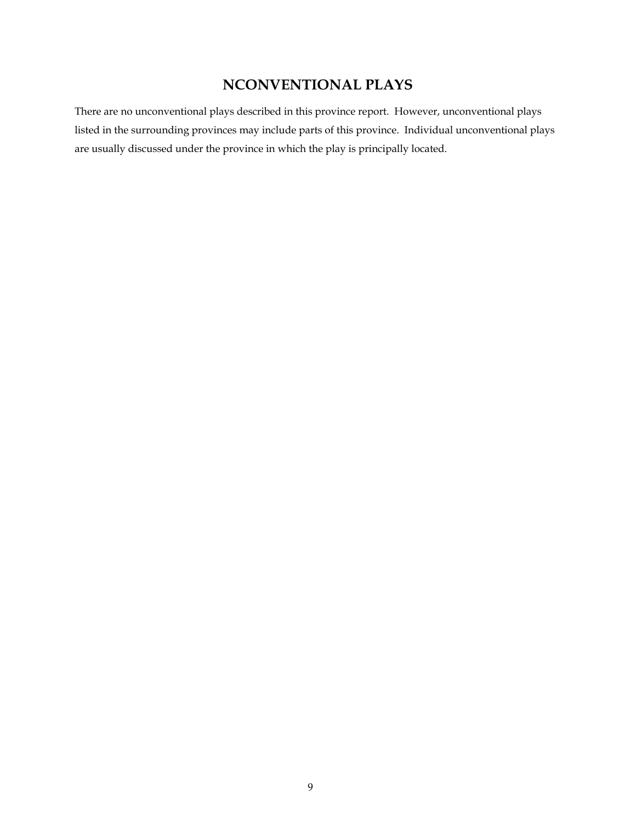## **NCONVENTIONAL PLAYS**

There are no unconventional plays described in this province report. However, unconventional plays listed in the surrounding provinces may include parts of this province. Individual unconventional plays are usually discussed under the province in which the play is principally located.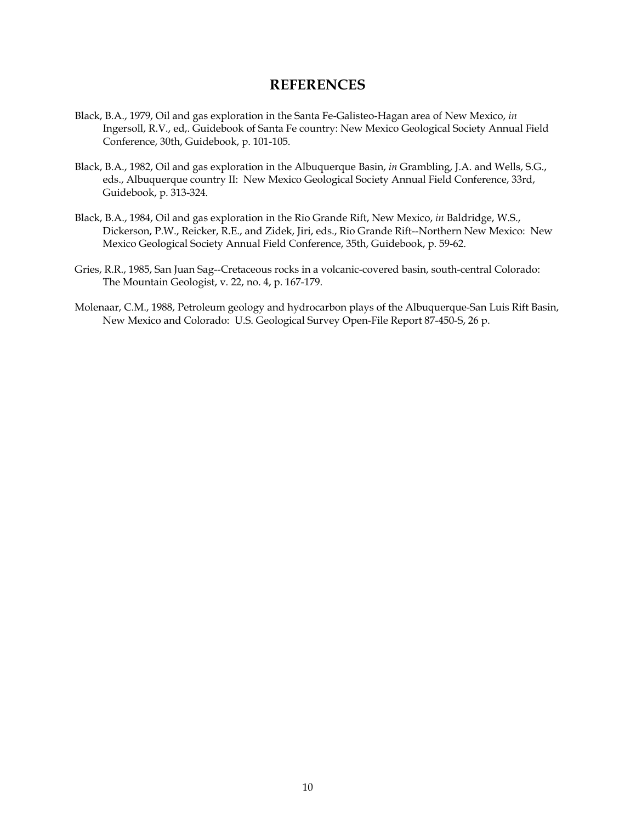### **REFERENCES**

- Black, B.A., 1979, Oil and gas exploration in the Santa Fe-Galisteo-Hagan area of New Mexico, *in*  Ingersoll, R.V., ed,. Guidebook of Santa Fe country: New Mexico Geological Society Annual Field Conference, 30th, Guidebook, p. 101-105.
- Black, B.A., 1982, Oil and gas exploration in the Albuquerque Basin, *in* Grambling, J.A. and Wells, S.G., eds., Albuquerque country II: New Mexico Geological Society Annual Field Conference, 33rd, Guidebook, p. 313-324.
- Black, B.A., 1984, Oil and gas exploration in the Rio Grande Rift, New Mexico, *in* Baldridge, W.S., Dickerson, P.W., Reicker, R.E., and Zidek, Jiri, eds., Rio Grande Rift--Northern New Mexico: New Mexico Geological Society Annual Field Conference, 35th, Guidebook, p. 59-62.
- Gries, R.R., 1985, San Juan Sag--Cretaceous rocks in a volcanic-covered basin, south-central Colorado: The Mountain Geologist, v. 22, no. 4, p. 167-179.
- Molenaar, C.M., 1988, Petroleum geology and hydrocarbon plays of the Albuquerque-San Luis Rift Basin, New Mexico and Colorado: U.S. Geological Survey Open-File Report 87-450-S, 26 p.